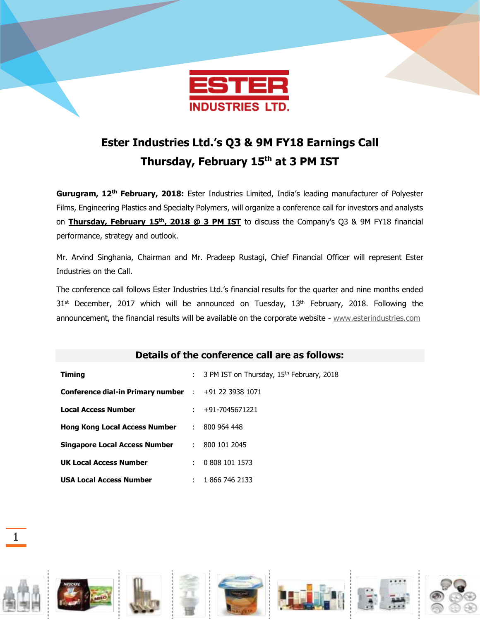

## **Ester Industries Ltd.'s Q3 & 9M FY18 Earnings Call Thursday, February 15 th at 3 PM IST**

**Gurugram, 12th February, 2018:** Ester Industries Limited, India's leading manufacturer of Polyester Films, Engineering Plastics and Specialty Polymers, will organize a conference call for investors and analysts on **Thursday, February 15<sup>th</sup>, 2018 @ 3 PM IST** to discuss the Company's Q3 & 9M FY18 financial performance, strategy and outlook.

Mr. Arvind Singhania, Chairman and Mr. Pradeep Rustagi, Chief Financial Officer will represent Ester Industries on the Call.

The conference call follows Ester Industries Ltd.'s financial results for the quarter and nine months ended  $31<sup>st</sup>$  December, 2017 which will be announced on Tuesday,  $13<sup>th</sup>$  February, 2018. Following the announcement, the financial results will be available on the corporate website - [www.esterindustries.com](http://www.esterindustries.com/)

## **Details of the conference call are as follows:**

| <b>Timing</b>                                                      |   | : 3 PM IST on Thursday, $15th$ February, 2018 |
|--------------------------------------------------------------------|---|-----------------------------------------------|
| <b>Conference dial-in Primary number</b> $\qquad$ +91 22 3938 1071 |   |                                               |
| <b>Local Access Number</b>                                         |   | $: +91-7045671221$                            |
| <b>Hong Kong Local Access Number</b>                               | ÷ | 800 964 448                                   |
| <b>Singapore Local Access Number</b>                               | ÷ | 800 101 2045                                  |
| <b>UK Local Access Number</b>                                      |   | 0 808 101 1573                                |
| <b>USA Local Access Number</b>                                     |   | 1 866 746 2133                                |

1